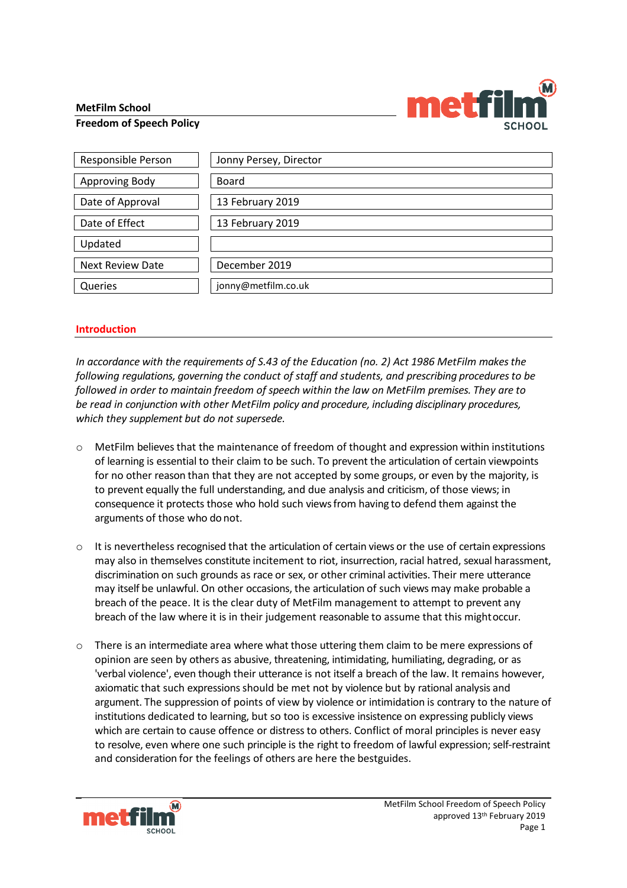### **MetFilm School**



### **Freedom of Speech Policy**

| Responsible Person      | Jonny Persey, Director |
|-------------------------|------------------------|
| Approving Body          | <b>Board</b>           |
| Date of Approval        | 13 February 2019       |
| Date of Effect          | 13 February 2019       |
| Updated                 |                        |
| <b>Next Review Date</b> | December 2019          |
| Queries                 | jonny@metfilm.co.uk    |

### **Introduction**

*In accordance with the requirements of S.43 of the Education (no. 2) Act 1986 MetFilm makes the following regulations, governing the conduct of staff and students, and prescribing procedures to be followed in order to maintain freedom of speech within the law on MetFilm premises. They are to be read in conjunction with other MetFilm policy and procedure, including disciplinary procedures, which they supplement but do not supersede.*

- o MetFilm believes that the maintenance of freedom of thought and expression within institutions of learning is essential to their claim to be such. To prevent the articulation of certain viewpoints for no other reason than that they are not accepted by some groups, or even by the majority, is to prevent equally the full understanding, and due analysis and criticism, of those views; in consequence it protects those who hold such viewsfrom having to defend them against the arguments of those who donot.
- $\circ$  It is nevertheless recognised that the articulation of certain views or the use of certain expressions may also in themselves constitute incitement to riot, insurrection, racial hatred, sexual harassment, discrimination on such grounds as race or sex, or other criminal activities. Their mere utterance may itself be unlawful. On other occasions, the articulation of such views may make probable a breach of the peace. It is the clear duty of MetFilm management to attempt to prevent any breach of the law where it is in their judgement reasonable to assume that this mightoccur.
- $\circ$  There is an intermediate area where what those uttering them claim to be mere expressions of opinion are seen by others as abusive, threatening, intimidating, humiliating, degrading, or as 'verbal violence', even though their utterance is not itself a breach of the law. It remains however, axiomatic that such expressions should be met not by violence but by rational analysis and argument. The suppression of points of view by violence or intimidation is contrary to the nature of institutions dedicated to learning, but so too is excessive insistence on expressing publicly views which are certain to cause offence or distress to others. Conflict of moral principles is never easy to resolve, even where one such principle is the right to freedom of lawful expression; self-restraint and consideration for the feelings of others are here the bestguides.

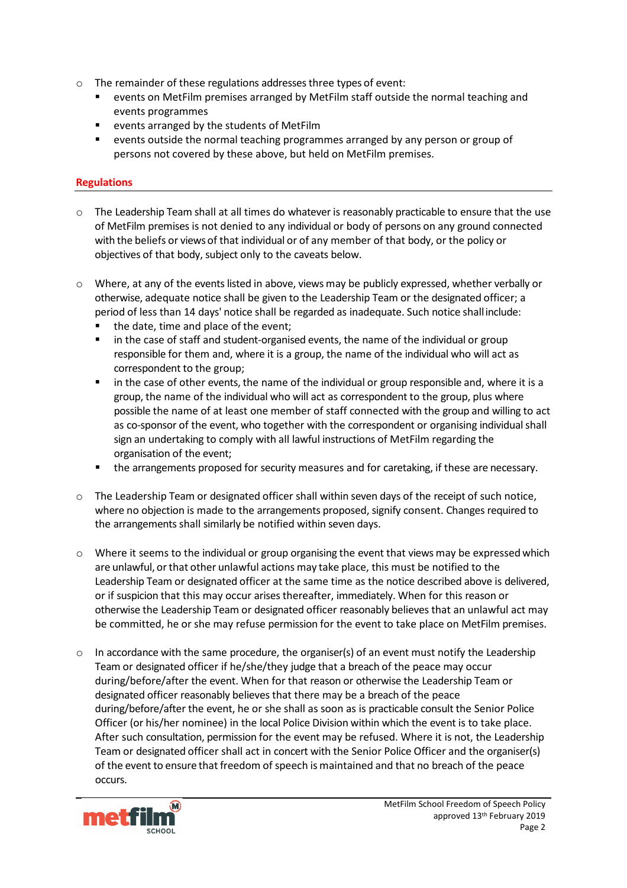- o The remainder of these regulations addresses three types of event:
	- events on MetFilm premises arranged by MetFilm staff outside the normal teaching and events programmes
	- events arranged by the students of MetFilm
	- events outside the normal teaching programmes arranged by any person or group of persons not covered by these above, but held on MetFilm premises.

# **Regulations**

- $\circ$  The Leadership Team shall at all times do whatever is reasonably practicable to ensure that the use of MetFilm premises is not denied to any individual or body of persons on any ground connected with the beliefs or viewsof that individual or of any member of that body, or the policy or objectives of that body, subject only to the caveats below.
- o Where, at any of the events listed in above, views may be publicly expressed, whether verbally or otherwise, adequate notice shall be given to the Leadership Team or the designated officer; a period of less than 14 days' notice shall be regarded as inadequate. Such notice shallinclude:
	- the date, time and place of the event;
	- **IXCO** in the case of staff and student-organised events, the name of the individual or group responsible for them and, where it is a group, the name of the individual who will act as correspondent to the group;
	- **I** in the case of other events, the name of the individual or group responsible and, where it is a group, the name of the individual who will act as correspondent to the group, plus where possible the name of at least one member of staff connected with the group and willing to act as co-sponsor of the event, who together with the correspondent or organising individual shall sign an undertaking to comply with all lawful instructions of MetFilm regarding the organisation of the event;
	- the arrangements proposed for security measures and for caretaking, if these are necessary.
- o The Leadership Team or designated officer shall within seven days of the receipt of such notice, where no objection is made to the arrangements proposed, signify consent. Changes required to the arrangements shall similarly be notified within seven days.
- $\circ$  Where it seems to the individual or group organising the event that views may be expressed which are unlawful, orthat other unlawful actions may take place, this must be notified to the Leadership Team or designated officer at the same time as the notice described above is delivered, or if suspicion that this may occur arises thereafter, immediately. When for this reason or otherwise the Leadership Team or designated officer reasonably believes that an unlawful act may be committed, he or she may refuse permission for the event to take place on MetFilm premises.
- $\circ$  In accordance with the same procedure, the organiser(s) of an event must notify the Leadership Team or designated officer if he/she/they judge that a breach of the peace may occur during/before/after the event. When for that reason or otherwise the Leadership Team or designated officer reasonably believes that there may be a breach of the peace during/before/after the event, he or she shall as soon as is practicable consult the Senior Police Officer (or his/her nominee) in the local Police Division within which the event is to take place. After such consultation, permission for the event may be refused. Where it is not, the Leadership Team or designated officer shall act in concert with the Senior Police Officer and the organiser(s) of the event to ensure that freedom of speech is maintained and that no breach of the peace occurs.